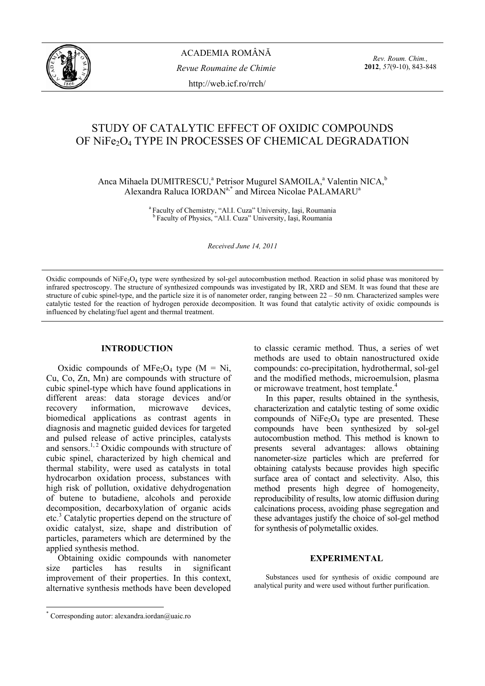

*Rev. Roum. Chim.,*  **2012**, *57*(9-10), 843-848

# STUDY OF CATALYTIC EFFECT OF OXIDIC COMPOUNDS OF NiFe<sub>2</sub>O<sub>4</sub> TYPE IN PROCESSES OF CHEMICAL DEGRADATION

Anca Mihaela DUMITRESCU,<sup>a</sup> Petrisor Mugurel SAMOILA,<sup>a</sup> Valentin NICA,<sup>b</sup> Alexandra Raluca  $IORDAN^{a,*}$  and Mircea Nicolae PALAMARU<sup>a</sup>

<sup>a</sup> Faculty of Chemistry, "Al.I. Cuza" University, Iași, Roumania <sup>b</sup> Faculty of Physics, "Al.I. Cuza" University, Iași, Roumania

*Received June 14, 2011* 

Oxidic compounds of NiFe<sub>2</sub>O<sub>4</sub> type were synthesized by sol-gel autocombustion method. Reaction in solid phase was monitored by infrared spectroscopy. The structure of synthesized compounds was investigated by IR, XRD and SEM. It was found that these are structure of cubic spinel-type, and the particle size it is of nanometer order, ranging between 22 – 50 nm. Characterized samples were catalytic tested for the reaction of hydrogen peroxide decomposition. It was found that catalytic activity of oxidic compounds is influenced by chelating/fuel agent and thermal treatment.

# **INTRODUCTION\***

Oxidic compounds of MFe<sub>2</sub>O<sub>4</sub> type (M = Ni, Cu, Co, Zn, Mn) are compounds with structure of cubic spinel-type which have found applications in different areas: data storage devices and/or recovery information, microwave devices, biomedical applications as contrast agents in diagnosis and magnetic guided devices for targeted and pulsed release of active principles, catalysts and sensors.<sup>1, 2</sup> Oxidic compounds with structure of cubic spinel, characterized by high chemical and thermal stability, were used as catalysts in total hydrocarbon oxidation process, substances with high risk of pollution, oxidative dehydrogenation of butene to butadiene, alcohols and peroxide decomposition, decarboxylation of organic acids etc.<sup>3</sup> Catalytic properties depend on the structure of oxidic catalyst, size, shape and distribution of particles, parameters which are determined by the applied synthesis method.

Obtaining oxidic compounds with nanometer size particles has results in significant improvement of their properties. In this context, alternative synthesis methods have been developed to classic ceramic method. Thus, a series of wet methods are used to obtain nanostructured oxide compounds: co-precipitation, hydrothermal, sol-gel and the modified methods, microemulsion, plasma or microwave treatment, host template.<sup>4</sup>

In this paper, results obtained in the synthesis, characterization and catalytic testing of some oxidic compounds of  $NiFe<sub>2</sub>O<sub>4</sub>$  type are presented. These compounds have been synthesized by sol-gel autocombustion method. This method is known to presents several advantages: allows obtaining nanometer-size particles which are preferred for obtaining catalysts because provides high specific surface area of contact and selectivity. Also, this method presents high degree of homogeneity, reproducibility of results, low atomic diffusion during calcinations process, avoiding phase segregation and these advantages justify the choice of sol-gel method for synthesis of polymetallic oxides.

# **EXPERIMENTAL**

Substances used for synthesis of oxidic compound are analytical purity and were used without further purification.

 \* Corresponding autor: alexandra.iordan@uaic.ro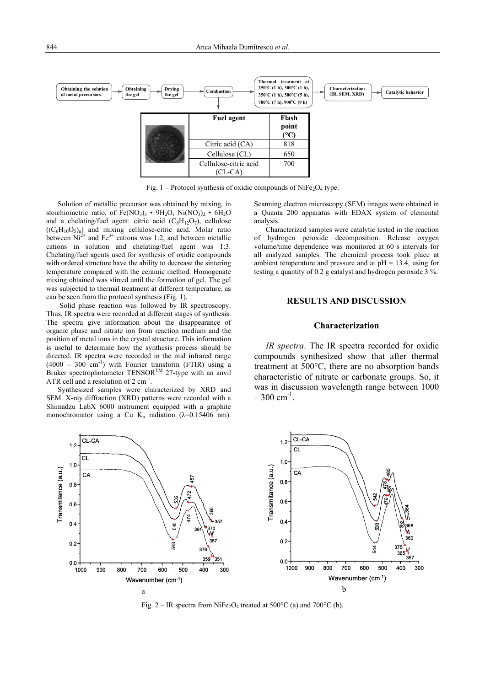

Fig. 1 – Protocol synthesis of oxidic compounds of NiFe<sub>2</sub>O<sub>4</sub> type.

Solution of metallic precursor was obtained by mixing, in stoichiometric ratio, of  $Fe(NO<sub>3</sub>)<sub>3</sub> • 9H<sub>2</sub>O$ ,  $Ni(NO<sub>3</sub>)<sub>2</sub> • 6H<sub>2</sub>O$ and a chelating/fuel agent: citric acid  $(C_8H_{12}O_7)$ , cellulose  $((C_6H_{10}O_{5})_n)$  and mixing cellulose-citric acid. Molar ratio between  $Ni^{2+}$  and  $Fe^{3+}$  cations was 1:2, and between metallic cations in solution and chelating/fuel agent was 1:3. Chelating/fuel agents used for synthesis of oxidic compounds with ordered structure have the ability to decrease the sintering temperature compared with the ceramic method. Homogenate mixing obtained was stirred until the formation of gel. The gel was subjected to thermal treatment at different temperature, as can be seen from the protocol synthesis (Fig. 1).

 Solid phase reaction was followed by IR spectroscopy. Thus, IR spectra were recorded at different stages of synthesis. The spectra give information about the disappearance of organic phase and nitrate ion from reaction medium and the position of metal ions in the crystal structure. This information is useful to determine how the synthesis process should be directed. IR spectra were recorded in the mid infrared range  $(4000 - 300$  cm<sup>-1</sup>) with Fourier transform (FTIR) using a Bruker spectrophotometer TENSOR<sup>TM</sup> 27-type with an anvil ATR cell and a resolution of  $2 \text{ cm}^{-1}$ .

Synthesized samples were characterized by XRD and SEM. X-ray diffraction (XRD) patterns were recorded with a Shimadzu LabX 6000 instrument equipped with a graphite monochromator using a Cu K<sub>a</sub> radiation ( $\lambda$ =0.15406 nm). Scanning electron microscopy (SEM) images were obtained in a Quanta 200 apparatus with EDAX system of elemental analysis.

Characterized samples were catalytic tested in the reaction of hydrogen peroxide decomposition. Release oxygen volume/time dependence was monitored at 60 s intervals for all analyzed samples. The chemical process took place at ambient temperature and pressure and at  $pH = 13.4$ , using for testing a quantity of 0.2 g catalyst and hydrogen peroxide 3 %.

# **RESULTS AND DISCUSSION**

#### **Characterization**

*IR spectra*. The IR spectra recorded for oxidic compounds synthesized show that after thermal treatment at 500°C, there are no absorption bands characteristic of nitrate or carbonate groups. So, it was in discussion wavelength range between 1000  $-300$  cm<sup>-1</sup>.



Fig. 2 – IR spectra from NiFe<sub>2</sub>O<sub>4</sub> treated at 500 $^{\circ}$ C (a) and 700 $^{\circ}$ C (b).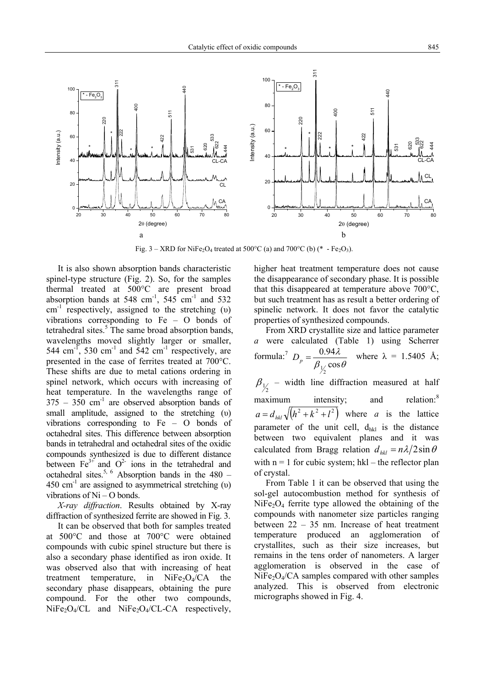

Fig. 3 – XRD for NiFe<sub>2</sub>O<sub>4</sub> treated at 500°C (a) and 700°C (b) (\* - Fe<sub>2</sub>O<sub>3</sub>).

It is also shown absorption bands characteristic spinel-type structure (Fig. 2). So, for the samples thermal treated at 500°C are present broad absorption bands at 548 cm<sup>-1</sup>, 545 cm<sup>-1</sup> and 532  $cm^{-1}$  respectively, assigned to the stretching (υ) vibrations corresponding to Fe – O bonds of tetrahedral sites.<sup>5</sup> The same broad absorption bands, wavelengths moved slightly larger or smaller, 544 cm<sup>-1</sup>, 530 cm<sup>-1</sup> and 542 cm<sup>-1</sup> respectively, are presented in the case of ferrites treated at 700°C. These shifts are due to metal cations ordering in spinel network, which occurs with increasing of heat temperature. In the wavelengths range of  $375 - 350$  cm<sup>-1</sup> are observed absorption bands of small amplitude, assigned to the stretching (υ) vibrations corresponding to Fe – O bonds of octahedral sites. This difference between absorption bands in tetrahedral and octahedral sites of the oxidic compounds synthesized is due to different distance between  $Fe^{3+}$  and  $O^2$  ions in the tetrahedral and octahedral sites.<sup>5, 6</sup> Absorption bands in the 480 –  $450 \text{ cm}^{-1}$  are assigned to asymmetrical stretching (υ) vibrations of  $Ni - O$  bonds.

*X-ray diffraction*. Results obtained by X-ray diffraction of synthesized ferrite are showed in Fig. 3.

It can be observed that both for samples treated at 500°C and those at 700°C were obtained compounds with cubic spinel structure but there is also a secondary phase identified as iron oxide. It was observed also that with increasing of heat treatment temperature, in NiFe<sub>2</sub>O<sub>4</sub>/CA the secondary phase disappears, obtaining the pure compound. For the other two compounds,  $NiFe<sub>2</sub>O<sub>4</sub>/CL$  and  $NiFe<sub>2</sub>O<sub>4</sub>/CL-CA$  respectively, higher heat treatment temperature does not cause the disappearance of secondary phase. It is possible that this disappeared at temperature above 700°C, but such treatment has as result a better ordering of spinelic network. It does not favor the catalytic properties of synthesized compounds.

From XRD crystallite size and lattice parameter *a* were calculated (Table 1) using Scherrer formula:<sup>7</sup>  $\beta_V \cos \theta$ λ cos 0.94  $\frac{1}{2}$ where  $\lambda = 1.5405$  Å;

 $\beta_{1/2}$  – width line diffraction measured at half maximum intensity; and relation:<sup>8</sup>  $a = d_{hkl} \sqrt{(h^2 + k^2 + l^2)}$  where *a* is the lattice parameter of the unit cell,  $d_{hkl}$  is the distance between two equivalent planes and it was calculated from Bragg relation  $d_{hk} = n\lambda/2\sin\theta$ with  $n = 1$  for cubic system; hkl – the reflector plan of crystal.

From Table 1 it can be observed that using the sol-gel autocombustion method for synthesis of  $NiFe<sub>2</sub>O<sub>4</sub>$  ferrite type allowed the obtaining of the compounds with nanometer size particles ranging between 22 – 35 nm. Increase of heat treatment temperature produced an agglomeration of crystallites, such as their size increases, but remains in the tens order of nanometers. A larger agglomeration is observed in the case of  $NiFe<sub>2</sub>O<sub>4</sub>/CA$  samples compared with other samples analyzed. This is observed from electronic micrographs showed in Fig. 4.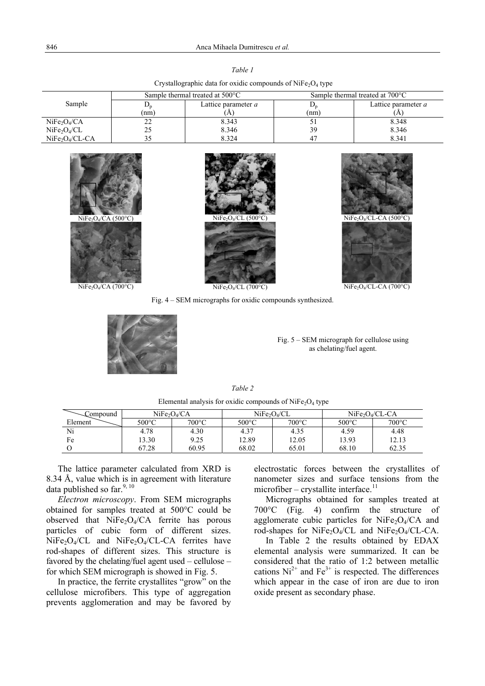| Crystallographic data for oxidic compounds of $NiFe2O4$ type |                                           |                     |                                           |                     |  |  |  |  |  |
|--------------------------------------------------------------|-------------------------------------------|---------------------|-------------------------------------------|---------------------|--|--|--|--|--|
| Sample                                                       | Sample thermal treated at $500^{\circ}$ C |                     | Sample thermal treated at $700^{\circ}$ C |                     |  |  |  |  |  |
|                                                              |                                           | Lattice parameter a |                                           | Lattice parameter a |  |  |  |  |  |
|                                                              | (nm)                                      | A                   | (nm)                                      |                     |  |  |  |  |  |
| NiFe <sub>2</sub> O <sub>4</sub> /CA                         |                                           | 8.343               |                                           | 8.348               |  |  |  |  |  |
| NiFe <sub>2</sub> O <sub>4</sub> /CL                         |                                           | 8.346               | 39                                        | 8.346               |  |  |  |  |  |
| $NiFe2/CL-CA$                                                |                                           | 8.324               |                                           | 8.341               |  |  |  |  |  |

| NiFe <sub>2</sub> O <sub>4</sub> /CA (500°C) |
|----------------------------------------------|
|                                              |
| $\mathbf{v}$                                 |



 $N_1Fe_2O_4/CL$  (500°C)  $N_1Fe_2O_4/CL-CA$  (500°C)

NiFe<sub>2</sub>O<sub>4</sub>/CA (700°C) NiFe<sub>2</sub>O<sub>4</sub>/CA (700°C) NiFe<sub>2</sub>O<sub>4</sub>/CL (700°C) NiFe<sub>2</sub>O<sub>4</sub>/CL-CA (700°C)

Fig. 4 – SEM micrographs for oxidic compounds synthesized.

Fig. 5 – SEM micrograph for cellulose using as chelating/fuel agent.

*Table 2* 

Elemental analysis for oxidic compounds of  $NiFe<sub>2</sub>O<sub>4</sub>$  type

| Compound | NiFe <sub>2</sub> O <sub>4</sub> /CA |                 | NiFe <sub>2</sub> /CL |                 | $NiFe2O4/CL-CA$ |                 |
|----------|--------------------------------------|-----------------|-----------------------|-----------------|-----------------|-----------------|
| Element  | 500°C                                | $700^{\circ}$ C | 500°C                 | $700^{\circ}$ C | 500°C           | $700^{\circ}$ C |
| Ni       | 4.78                                 | 4.30            | 4.37                  | 4.35            | 4.59            | 4.48            |
| Fe       | 13.30                                | 9.25            | 12.89                 | 12.05           | 13.93           | 12.13           |
|          | 67.28                                | 60.95           | 68.02                 | 65.01           | 68.10           | 62.35           |

The lattice parameter calculated from XRD is 8.34 Å, value which is in agreement with literature data published so far.  $9, 10$ 

*Electron microscopy*. From SEM micrographs obtained for samples treated at 500°C could be observed that  $NiFe<sub>2</sub>O<sub>4</sub>/CA$  ferrite has porous particles of cubic form of different sizes.  $NiFe<sub>2</sub>O<sub>4</sub>/CL$  and  $NiFe<sub>2</sub>O<sub>4</sub>/CL-CA$  ferrites have rod-shapes of different sizes. This structure is favored by the chelating/fuel agent used – cellulose – for which SEM micrograph is showed in Fig. 5.

In practice, the ferrite crystallites "grow" on the cellulose microfibers. This type of aggregation prevents agglomeration and may be favored by electrostatic forces between the crystallites of nanometer sizes and surface tensions from the  $microfiber - crystallite interface.<sup>11</sup>$ 

Micrographs obtained for samples treated at 700°C (Fig. 4) confirm the structure of agglomerate cubic particles for  $NiFe<sub>2</sub>O<sub>4</sub>/CA$  and rod-shapes for NiFe<sub>2</sub>O<sub>4</sub>/CL and NiFe<sub>2</sub>O<sub>4</sub>/CL-CA.

 In Table 2 the results obtained by EDAX elemental analysis were summarized. It can be considered that the ratio of 1:2 between metallic cations  $Ni^{2+}$  and  $Fe^{3+}$  is respected. The differences which appear in the case of iron are due to iron oxide present as secondary phase.

*Table 1*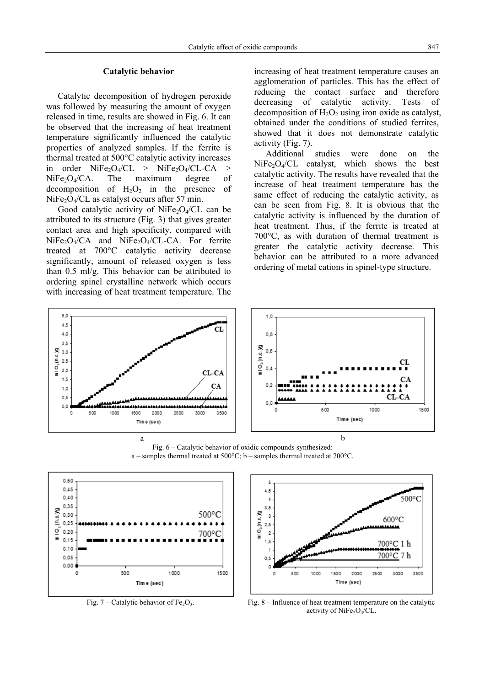# **Catalytic behavior**

 Catalytic decomposition of hydrogen peroxide was followed by measuring the amount of oxygen released in time, results are showed in Fig. 6. It can be observed that the increasing of heat treatment temperature significantly influenced the catalytic properties of analyzed samples. If the ferrite is thermal treated at 500°C catalytic activity increases in order  $NiFe<sub>2</sub>O<sub>4</sub>/CL$  >  $NiFe<sub>2</sub>O<sub>4</sub>/CL-CA$  $NiFe<sub>2</sub>O<sub>4</sub>/CA$ . The maximum degree of decomposition of  $H_2O_2$  in the presence of  $NiFe<sub>2</sub>O<sub>4</sub>/CL$  as catalyst occurs after 57 min.

Good catalytic activity of NiFe<sub>2</sub>O<sub>4</sub>/CL can be attributed to its structure (Fig. 3) that gives greater contact area and high specificity, compared with  $NiFe<sub>2</sub>O<sub>4</sub>/CA$  and  $NiFe<sub>2</sub>O<sub>4</sub>/CL-CA$ . For ferrite treated at 700°C catalytic activity decrease significantly, amount of released oxygen is less than 0.5 ml/g. This behavior can be attributed to ordering spinel crystalline network which occurs with increasing of heat treatment temperature. The increasing of heat treatment temperature causes an agglomeration of particles. This has the effect of reducing the contact surface and therefore decreasing of catalytic activity. Tests of decomposition of  $H_2O_2$  using iron oxide as catalyst, obtained under the conditions of studied ferrites, showed that it does not demonstrate catalytic activity (Fig. 7).

Additional studies were done on the  $NiFe<sub>2</sub>O<sub>4</sub>/CL$  catalyst, which shows the best catalytic activity. The results have revealed that the increase of heat treatment temperature has the same effect of reducing the catalytic activity, as can be seen from Fig. 8. It is obvious that the catalytic activity is influenced by the duration of heat treatment. Thus, if the ferrite is treated at 700°C, as with duration of thermal treatment is greater the catalytic activity decrease. This behavior can be attributed to a more advanced ordering of metal cations in spinel-type structure.



Fig. 6 – Catalytic behavior of oxidic compounds synthesized: a – samples thermal treated at 500°C; b – samples thermal treated at 700°C.





Fig. 7 – Catalytic behavior of Fe<sub>2</sub>O<sub>3</sub>. Fig. 8 – Influence of heat treatment temperature on the catalytic activity of NiFe<sub>2</sub>O<sub>4</sub>/CL.